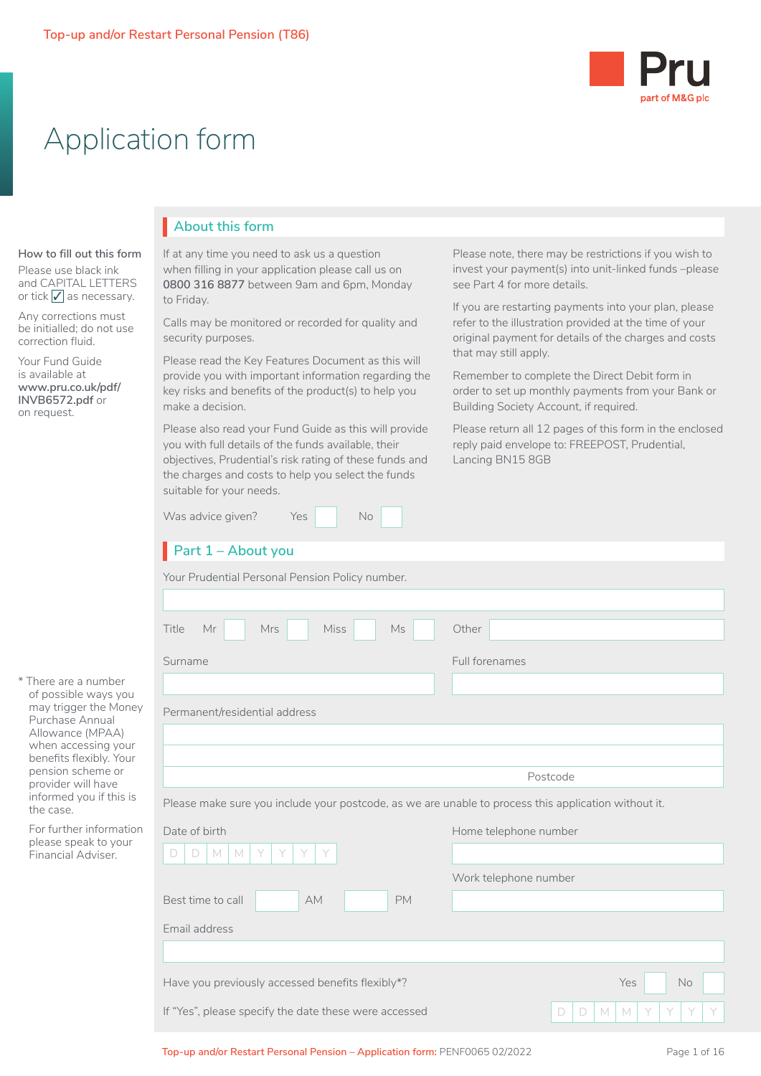

# Application form

## **About this form** I

#### **How to fill out this form**

Please use black ink and CAPITAL LETTERS or tick  $\sqrt{\ }$  as necessary.

Any corrections must be initialled; do not use correction fluid.

Your Fund Guide is available at **[www.pru.co.uk/pdf/](http://www.pru.co.uk/pdf/INVB6572.pdf) [INVB6572.pdf](http://www.pru.co.uk/pdf/INVB6572.pdf)** or on request.

If at any time you need to ask us a question when filling in your application please call us on **0800 316 8877** between 9am and 6pm, Monday to Friday.

Calls may be monitored or recorded for quality and security purposes.

Please read the Key Features Document as this will provide you with important information regarding the key risks and benefits of the product(s) to help you make a decision.

Please also read your Fund Guide as this will provide you with full details of the funds available, their objectives, Prudential's risk rating of these funds and the charges and costs to help you select the funds suitable for your needs.

| Was advice given? | Yes | No |  |
|-------------------|-----|----|--|
|                   |     |    |  |

Please note, there may be restrictions if you wish to invest your payment(s) into unit-linked funds –please see Part 4 for more details.

If you are restarting payments into your plan, please refer to the illustration provided at the time of your original payment for details of the charges and costs that may still apply.

Remember to complete the Direct Debit form in order to set up monthly payments from your Bank or Building Society Account, if required.

Please return all 12 pages of this form in the enclosed reply paid envelope to: FREEPOST, Prudential, Lancing BN15 8GB

\* There are a number of possible ways you may trigger the Money Purchase Annual Allowance (MPAA) when accessing your benefits flexibly. Your pension scheme or provider will have informed you if this is the case.

For further information please speak to your Financial Adviser.

| Other                                                                                                |
|------------------------------------------------------------------------------------------------------|
| Full forenames                                                                                       |
|                                                                                                      |
|                                                                                                      |
|                                                                                                      |
|                                                                                                      |
| Postcode                                                                                             |
| Please make sure you include your postcode, as we are unable to process this application without it. |
| Home telephone number                                                                                |
|                                                                                                      |
|                                                                                                      |
| Work telephone number                                                                                |
|                                                                                                      |
|                                                                                                      |
|                                                                                                      |
| Yes<br>No                                                                                            |
|                                                                                                      |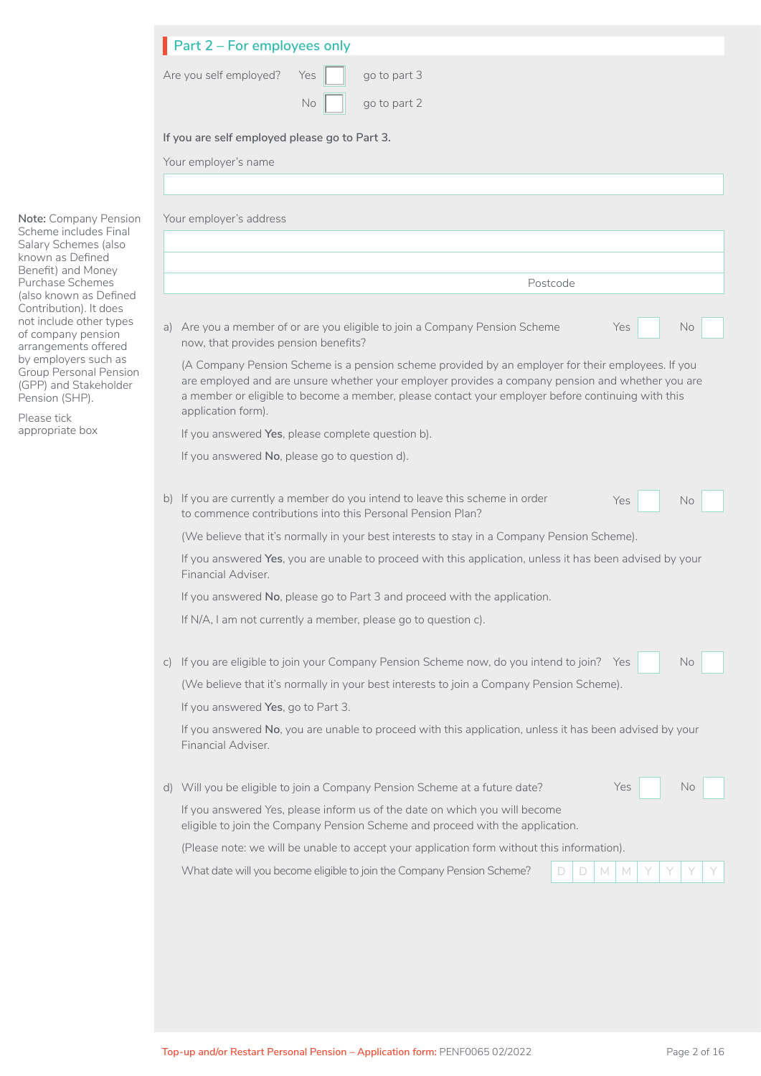|                                                                                                                 | Part $2$ – For employees only                                                                                                                                                                                                                                                                                                    |
|-----------------------------------------------------------------------------------------------------------------|----------------------------------------------------------------------------------------------------------------------------------------------------------------------------------------------------------------------------------------------------------------------------------------------------------------------------------|
|                                                                                                                 | Are you self employed?<br>go to part 3<br>Yes                                                                                                                                                                                                                                                                                    |
|                                                                                                                 | go to part 2<br>No                                                                                                                                                                                                                                                                                                               |
|                                                                                                                 | If you are self employed please go to Part 3.                                                                                                                                                                                                                                                                                    |
|                                                                                                                 | Your employer's name                                                                                                                                                                                                                                                                                                             |
|                                                                                                                 |                                                                                                                                                                                                                                                                                                                                  |
| Note: Company Pension<br>Scheme includes Final<br>Salary Schemes (also<br>known as Defined                      | Your employer's address                                                                                                                                                                                                                                                                                                          |
| Benefit) and Money<br>Purchase Schemes                                                                          | Postcode                                                                                                                                                                                                                                                                                                                         |
| (also known as Defined<br>Contribution). It does                                                                |                                                                                                                                                                                                                                                                                                                                  |
| not include other types<br>of company pension<br>arrangements offered                                           | a) Are you a member of or are you eligible to join a Company Pension Scheme<br>Yes<br>No<br>now, that provides pension benefits?                                                                                                                                                                                                 |
| by employers such as<br><b>Group Personal Pension</b><br>(GPP) and Stakeholder<br>Pension (SHP).<br>Please tick | (A Company Pension Scheme is a pension scheme provided by an employer for their employees. If you<br>are employed and are unsure whether your employer provides a company pension and whether you are<br>a member or eligible to become a member, please contact your employer before continuing with this<br>application form). |
| appropriate box                                                                                                 | If you answered Yes, please complete question b).                                                                                                                                                                                                                                                                                |
|                                                                                                                 | If you answered No, please go to question d).                                                                                                                                                                                                                                                                                    |
|                                                                                                                 | b) If you are currently a member do you intend to leave this scheme in order<br>Yes<br>No<br>to commence contributions into this Personal Pension Plan?                                                                                                                                                                          |
|                                                                                                                 | (We believe that it's normally in your best interests to stay in a Company Pension Scheme).                                                                                                                                                                                                                                      |
|                                                                                                                 | If you answered Yes, you are unable to proceed with this application, unless it has been advised by your<br>Financial Adviser.                                                                                                                                                                                                   |
|                                                                                                                 | If you answered No, please go to Part 3 and proceed with the application.                                                                                                                                                                                                                                                        |
|                                                                                                                 | If N/A, I am not currently a member, please go to question c).                                                                                                                                                                                                                                                                   |
|                                                                                                                 | c) If you are eligible to join your Company Pension Scheme now, do you intend to join? Yes<br>No                                                                                                                                                                                                                                 |
|                                                                                                                 | (We believe that it's normally in your best interests to join a Company Pension Scheme).                                                                                                                                                                                                                                         |
|                                                                                                                 | If you answered Yes, go to Part 3.                                                                                                                                                                                                                                                                                               |
|                                                                                                                 | If you answered No, you are unable to proceed with this application, unless it has been advised by your<br>Financial Adviser.                                                                                                                                                                                                    |
|                                                                                                                 | d) Will you be eligible to join a Company Pension Scheme at a future date?<br>No<br>Yes                                                                                                                                                                                                                                          |
|                                                                                                                 | If you answered Yes, please inform us of the date on which you will become<br>eligible to join the Company Pension Scheme and proceed with the application.                                                                                                                                                                      |
|                                                                                                                 | (Please note: we will be unable to accept your application form without this information).                                                                                                                                                                                                                                       |
|                                                                                                                 | What date will you become eligible to join the Company Pension Scheme?<br>D<br>M<br>M                                                                                                                                                                                                                                            |
|                                                                                                                 |                                                                                                                                                                                                                                                                                                                                  |
|                                                                                                                 |                                                                                                                                                                                                                                                                                                                                  |
|                                                                                                                 |                                                                                                                                                                                                                                                                                                                                  |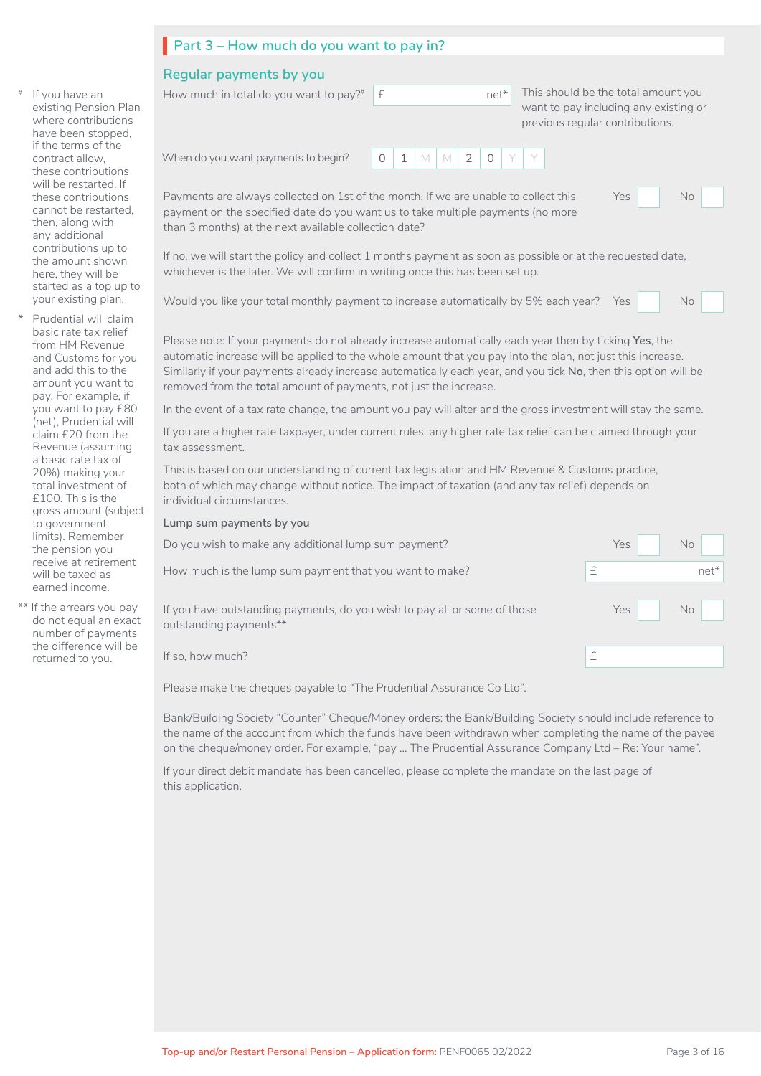## Part 3 – How much do you want to pay in?

## **Regular payments by you**

- If you have an existing Pension Plan where contributions have been stopped, if the terms of the contract allow, these contributions will be restarted. If these contributions cannot be restarted, then, along with any additional contributions up to the amount shown here, they will be started as a top up to your existing plan.
- Prudential will claim basic rate tax relief from HM Revenue and Customs for you and add this to the amount you want to pay. For example, if you want to pay £80 (net), Prudential will claim £20 from the Revenue (assuming a basic rate tax of 20%) making your total investment of £100. This is the gross amount (subject to government limits). Remember the pension you receive at retirement will be taxed as earned income.
- \*\* If the arrears you pay do not equal an exact number of payments the difference will be returned to you.

How much in total do you want to pay?<sup>#</sup>  $\boxed{f}$  This should be the total amount you want to pay including any existing or previous regular contributions.  $n \in \mathbb{R}^+$ When do you want payments to begin? 0 1 M M 2 0 Y Y Payments are always collected on 1st of the month. If we are unable to collect this payment on the specified date do you want us to take multiple payments (no more than 3 months) at the next available collection date? Yes No  $\Box$  No  $\Box$ 

If no, we will start the policy and collect 1 months payment as soon as possible or at the requested date, whichever is the later. We will confirm in writing once this has been set up.

Would you like your total monthly payment to increase automatically by 5% each year?

Yes No

Please note: If your payments do not already increase automatically each year then by ticking **Yes**, the automatic increase will be applied to the whole amount that you pay into the plan, not just this increase. Similarly if your payments already increase automatically each year, and you tick **No**, then this option will be removed from the **total** amount of payments, not just the increase.

In the event of a tax rate change, the amount you pay will alter and the gross investment will stay the same.

If you are a higher rate taxpayer, under current rules, any higher rate tax relief can be claimed through your tax assessment.

This is based on our understanding of current tax legislation and HM Revenue & Customs practice, both of which may change without notice. The impact of taxation (and any tax relief) depends on individual circumstances.

#### **Lump sum payments by you**

Do you wish to make any additional lump sum payment? How much is the lump sum payment that you want to make?

If you have outstanding payments, do you wish to pay all or some of those

Yes No  $f$  net\* £  $\Box$  No  $\Box$ 

Yes No

 $\begin{array}{|c|c|c|c|}\n\hline\n\text{No} & \text{No} & \text{No} \end{array}$ 

If so, how much?

outstanding payments\*\*

Please make the cheques payable to "The Prudential Assurance Co Ltd".

Bank/Building Society "Counter" Cheque/Money orders: the Bank/Building Society should include reference to the name of the account from which the funds have been withdrawn when completing the name of the payee on the cheque/money order. For example, "pay … The Prudential Assurance Company Ltd – Re: Your name".

If your direct debit mandate has been cancelled, please complete the mandate on the last page of this application.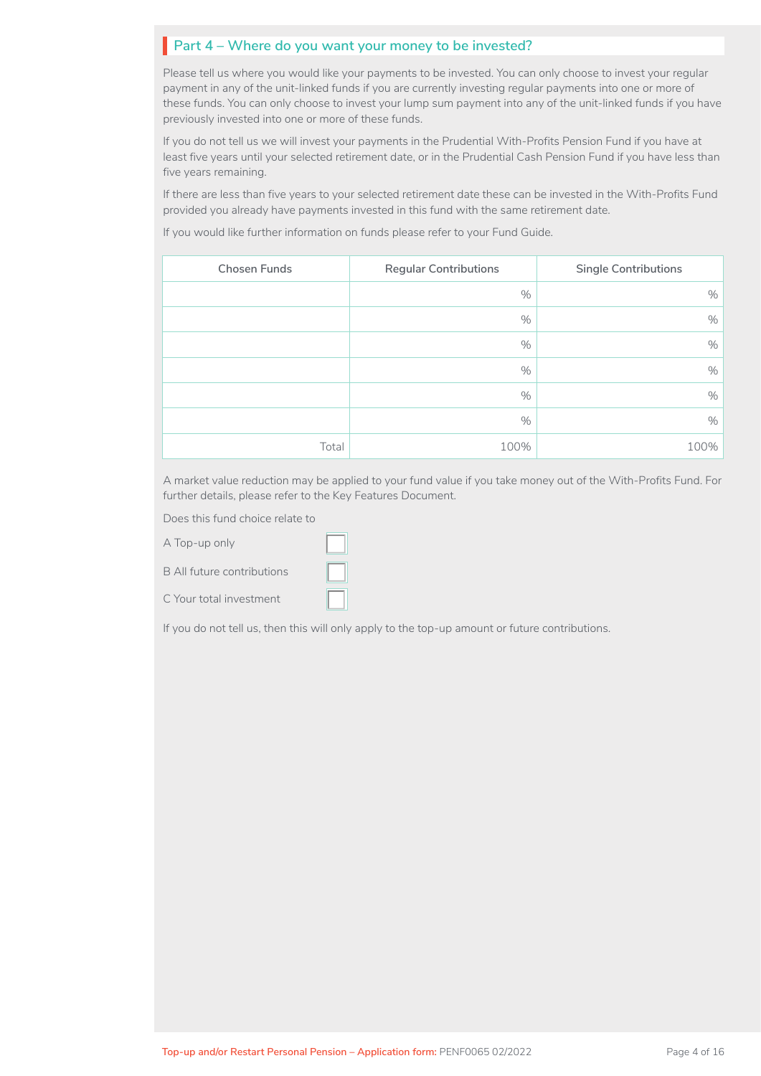## **Part 4 – Where do you want your money to be invested?**

Please tell us where you would like your payments to be invested. You can only choose to invest your regular payment in any of the unit-linked funds if you are currently investing regular payments into one or more of these funds. You can only choose to invest your lump sum payment into any of the unit-linked funds if you have previously invested into one or more of these funds.

If you do not tell us we will invest your payments in the Prudential With-Profits Pension Fund if you have at least five years until your selected retirement date, or in the Prudential Cash Pension Fund if you have less than five years remaining.

If there are less than five years to your selected retirement date these can be invested in the With-Profits Fund provided you already have payments invested in this fund with the same retirement date.

If you would like further information on funds please refer to your Fund Guide.

| <b>Chosen Funds</b> | <b>Regular Contributions</b> | Single Contributions |
|---------------------|------------------------------|----------------------|
|                     | $\%$                         | $\%$                 |
|                     | $\%$                         | %                    |
|                     | $\%$                         | $\%$                 |
|                     | $\%$                         | $\%$                 |
|                     | $\%$                         | $\%$                 |
|                     | $\%$                         | $\%$                 |
| Total               | 100%                         | 100%                 |

A market value reduction may be applied to your fund value if you take money out of the With-Profits Fund. For further details, please refer to the Key Features Document.

Does this fund choice relate to

A Top-up only

B All future contributions

C Your total investment

If you do not tell us, then this will only apply to the top-up amount or future contributions.

 $\Box$ 

 $\Box$ 

LJ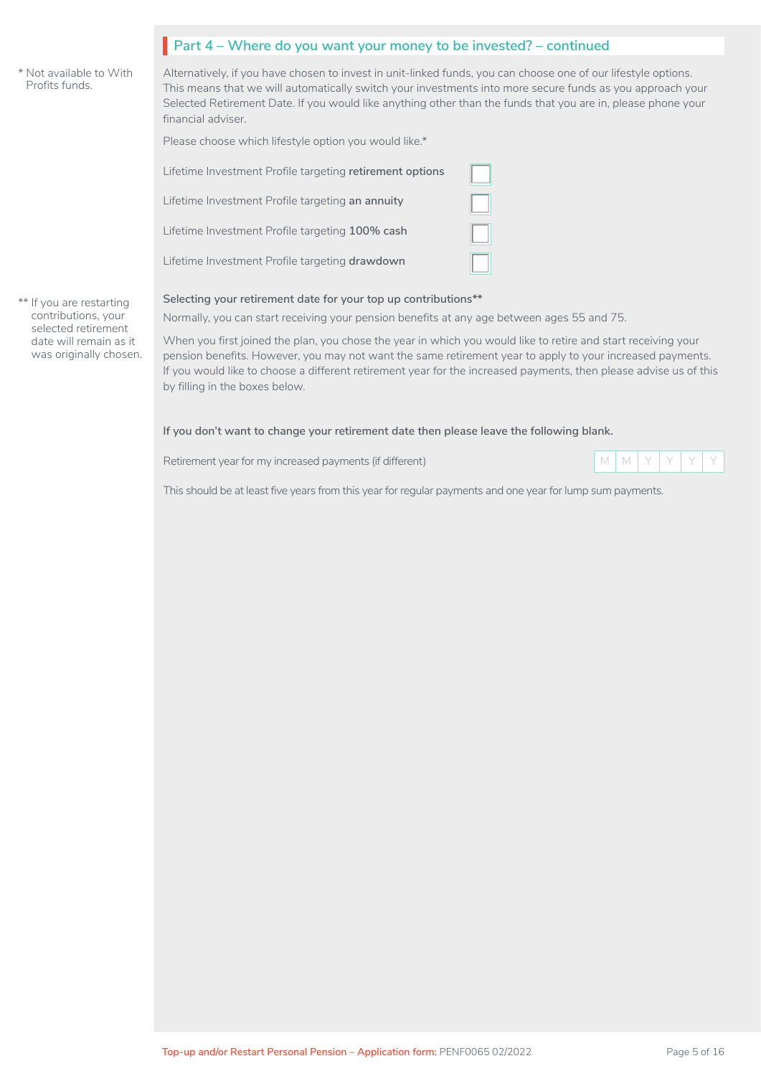| Part $4$ – Where do you want your money to be invested? – continued |  |  |
|---------------------------------------------------------------------|--|--|
|                                                                     |  |  |

| * Not available to With |
|-------------------------|
| Profits funds.          |

\*\* If you are restarting contributions, your selected retirement date will remain as it was originally chosen. Alternatively, if you have chosen to invest in unit-linked funds, you can choose one of our lifestyle options. This means that we will automatically switch your investments into more secure funds as you approach your Selected Retirement Date. If you would like anything other than the funds that you are in, please phone your financial adviser.

Please choose which lifestyle option you would like.\*

| Lifetime Investment Profile targeting retirement options |  |
|----------------------------------------------------------|--|
| Lifetime Investment Profile targeting an annuity         |  |
| Lifetime Investment Profile targeting 100% cash          |  |
| Lifetime Investment Profile targeting drawdown           |  |
|                                                          |  |

#### **Selecting your retirement date for your top up contributions\*\***

Normally, you can start receiving your pension benefits at any age between ages 55 and 75.

When you first joined the plan, you chose the year in which you would like to retire and start receiving your pension benefits. However, you may not want the same retirement year to apply to your increased payments. If you would like to choose a different retirement year for the increased payments, then please advise us of this by filling in the boxes below.

**If you don't want to change your retirement date then please leave the following blank.**

Retirement year for my increased payments (if different)



This should be at least five years from this year for regular payments and one year for lump sum payments.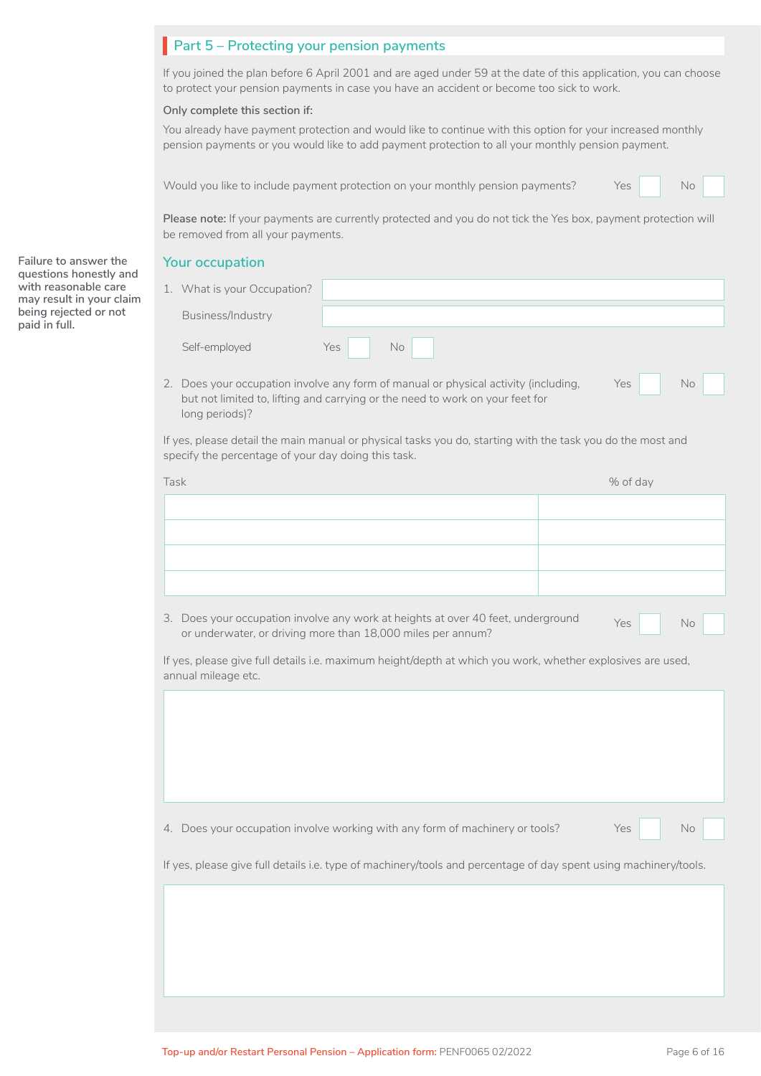## **Part 5 – Protecting your pension payments**

If you joined the plan before 6 April 2001 and are aged under 59 at the date of this application, you can choose to protect your pension payments in case you have an accident or become too sick to work.

#### **Only complete this section if:**

You already have payment protection and would like to continue with this option for your increased monthly pension payments or you would like to add payment protection to all your monthly pension payment.

Would you like to include payment protection on your monthly pension payments? Yes No

**Please note:** If your payments are currently protected and you do not tick the Yes box, payment protection will be removed from all your payments.

#### **Your occupation**

| 1. What is your Occupation? |           |
|-----------------------------|-----------|
| Business/Industry           |           |
| Self-employed               | Yes<br>No |

2. Does your occupation involve any form of manual or physical activity (including, but not limited to, lifting and carrying or the need to work on your feet for long periods)?

If yes, please detail the main manual or physical tasks you do, starting with the task you do the most and specify the percentage of your day doing this task.

| Task | % of day |
|------|----------|
|      |          |
|      |          |
|      |          |
|      |          |

3. Does your occupation involve any work at heights at over 40 feet, underground or underwater, or driving more than 18,000 miles per annum?

|--|

Yes No

 $\begin{array}{|c|c|c|c|}\n\hline\n\textbf{}} & \textbf{No} & \textbf{} \end{array}$ 

□ □

If yes, please give full details i.e. maximum height/depth at which you work, whether explosives are used, annual mileage etc.

4. Does your occupation involve working with any form of machinery or tools?

Yes No

Yes

If yes, please give full details i.e. type of machinery/tools and percentage of day spent using machinery/tools.

**Failure to answer the questions honestly and with reasonable care may result in your claim being rejected or not paid in full.** 

□ □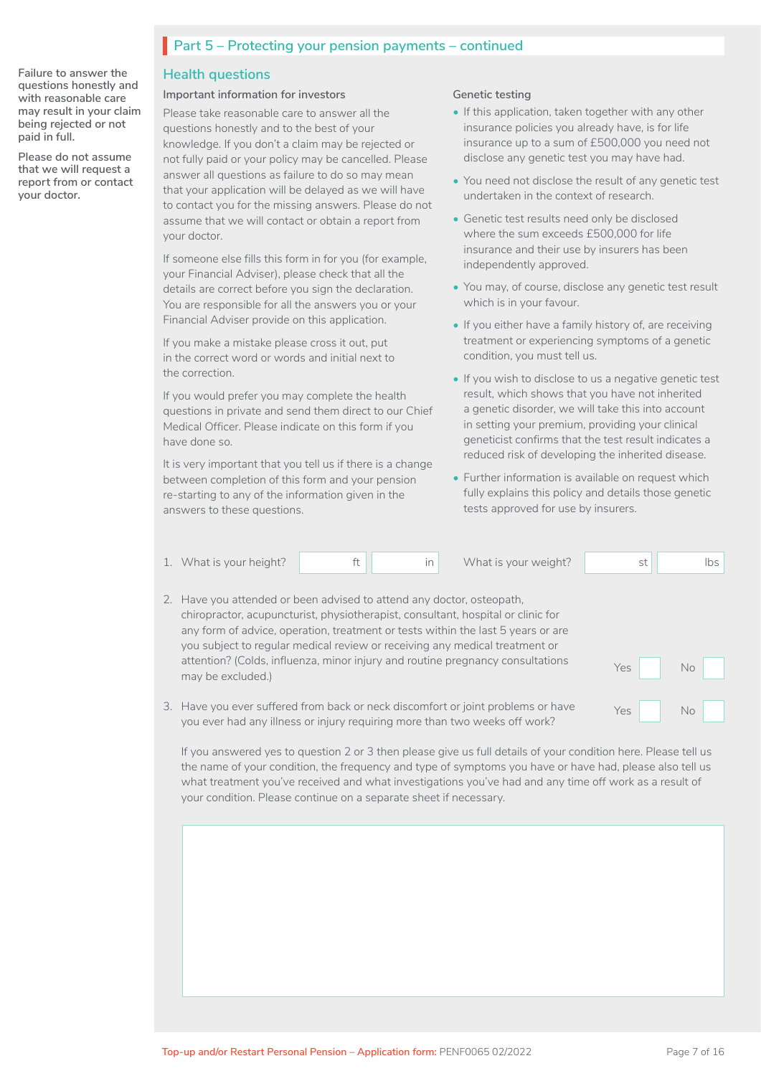## **Part 5 – Protecting your pension payments – continued**

#### **Health questions**

#### **Important information for investors**

Please take reasonable care to answer all the questions honestly and to the best of your knowledge. If you don't a claim may be rejected or not fully paid or your policy may be cancelled. Please answer all questions as failure to do so may mean that your application will be delayed as we will have to contact you for the missing answers. Please do not assume that we will contact or obtain a report from your doctor.

If someone else fills this form in for you (for example, your Financial Adviser), please check that all the details are correct before you sign the declaration. You are responsible for all the answers you or your Financial Adviser provide on this application.

If you make a mistake please cross it out, put in the correct word or words and initial next to the correction.

If you would prefer you may complete the health questions in private and send them direct to our Chief Medical Officer. Please indicate on this form if you have done so.

It is very important that you tell us if there is a change between completion of this form and your pension re-starting to any of the information given in the answers to these questions.

#### **Genetic testing**

- If this application, taken together with any other insurance policies you already have, is for life insurance up to a sum of £500,000 you need not disclose any genetic test you may have had.
- You need not disclose the result of any genetic test undertaken in the context of research.
- Genetic test results need only be disclosed where the sum exceeds £500,000 for life insurance and their use by insurers has been independently approved.
- You may, of course, disclose any genetic test result which is in your favour.
- If you either have a family history of, are receiving treatment or experiencing symptoms of a genetic condition, you must tell us.
- If you wish to disclose to us a negative genetic test result, which shows that you have not inherited a genetic disorder, we will take this into account in setting your premium, providing your clinical geneticist confirms that the test result indicates a reduced risk of developing the inherited disease.
- Further information is available on request which fully explains this policy and details those genetic tests approved for use by insurers.



you ever had any illness or injury requiring more than two weeks off work?

If you answered yes to question 2 or 3 then please give us full details of your condition here. Please tell us the name of your condition, the frequency and type of symptoms you have or have had, please also tell us what treatment you've received and what investigations you've had and any time off work as a result of your condition. Please continue on a separate sheet if necessary.

**Failure to answer the questions honestly and with reasonable care may result in your claim being rejected or not paid in full.** 

**Please do not assume that we will request a report from or contact your doctor.**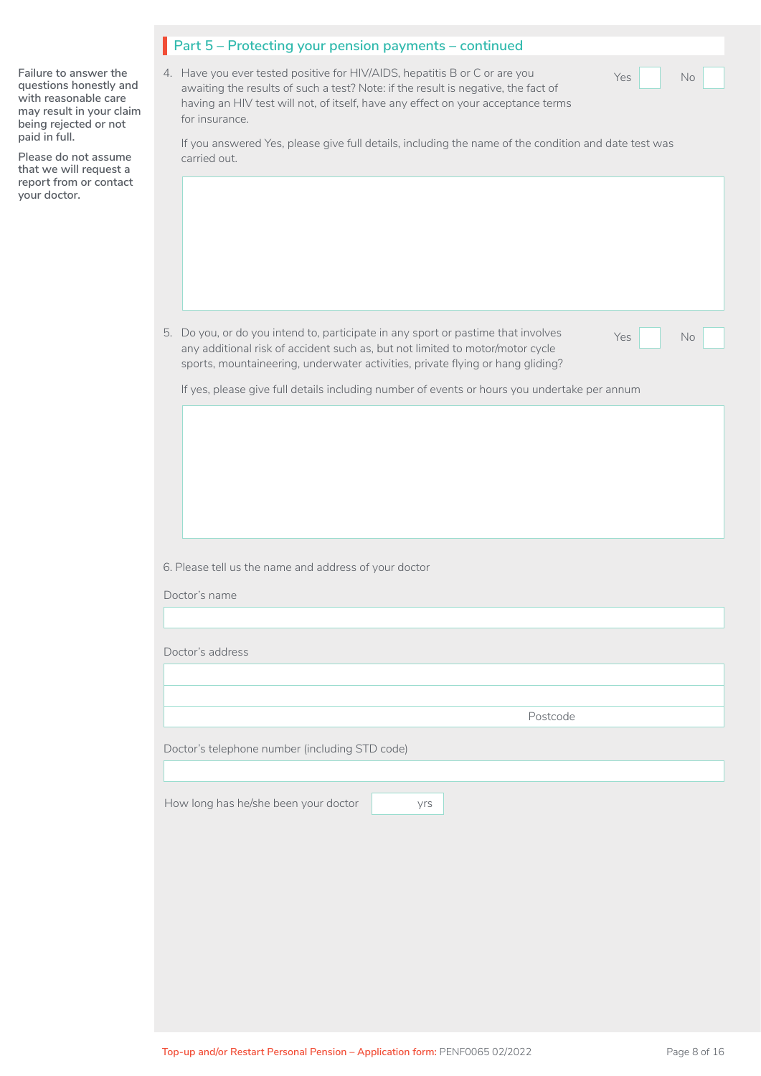|                                                                                                                                                                                                                                           | Part 5 - Protecting your pension payments - continued                                                                                                                                                                                                                                                                                                                                                      |
|-------------------------------------------------------------------------------------------------------------------------------------------------------------------------------------------------------------------------------------------|------------------------------------------------------------------------------------------------------------------------------------------------------------------------------------------------------------------------------------------------------------------------------------------------------------------------------------------------------------------------------------------------------------|
| Failure to answer the<br>questions honestly and<br>with reasonable care<br>may result in your claim<br>being rejected or not<br>paid in full.<br>Please do not assume<br>that we will request a<br>report from or contact<br>your doctor. | 4. Have you ever tested positive for HIV/AIDS, hepatitis B or C or are you<br>Yes<br>No<br>awaiting the results of such a test? Note: if the result is negative, the fact of<br>having an HIV test will not, of itself, have any effect on your acceptance terms<br>for insurance.<br>If you answered Yes, please give full details, including the name of the condition and date test was<br>carried out. |
|                                                                                                                                                                                                                                           | 5. Do you, or do you intend to, participate in any sport or pastime that involves<br>Yes<br>No<br>any additional risk of accident such as, but not limited to motor/motor cycle<br>sports, mountaineering, underwater activities, private flying or hang gliding?<br>If yes, please give full details including number of events or hours you undertake per annum                                          |
|                                                                                                                                                                                                                                           |                                                                                                                                                                                                                                                                                                                                                                                                            |
|                                                                                                                                                                                                                                           | 6. Please tell us the name and address of your doctor                                                                                                                                                                                                                                                                                                                                                      |
|                                                                                                                                                                                                                                           | Doctor's name                                                                                                                                                                                                                                                                                                                                                                                              |
|                                                                                                                                                                                                                                           |                                                                                                                                                                                                                                                                                                                                                                                                            |
|                                                                                                                                                                                                                                           | Doctor's address                                                                                                                                                                                                                                                                                                                                                                                           |
|                                                                                                                                                                                                                                           |                                                                                                                                                                                                                                                                                                                                                                                                            |
|                                                                                                                                                                                                                                           | Postcode<br>Doctor's telephone number (including STD code)                                                                                                                                                                                                                                                                                                                                                 |
|                                                                                                                                                                                                                                           |                                                                                                                                                                                                                                                                                                                                                                                                            |
|                                                                                                                                                                                                                                           | How long has he/she been your doctor<br>yrs                                                                                                                                                                                                                                                                                                                                                                |
|                                                                                                                                                                                                                                           |                                                                                                                                                                                                                                                                                                                                                                                                            |
|                                                                                                                                                                                                                                           |                                                                                                                                                                                                                                                                                                                                                                                                            |
|                                                                                                                                                                                                                                           |                                                                                                                                                                                                                                                                                                                                                                                                            |
|                                                                                                                                                                                                                                           |                                                                                                                                                                                                                                                                                                                                                                                                            |
|                                                                                                                                                                                                                                           |                                                                                                                                                                                                                                                                                                                                                                                                            |
|                                                                                                                                                                                                                                           |                                                                                                                                                                                                                                                                                                                                                                                                            |

I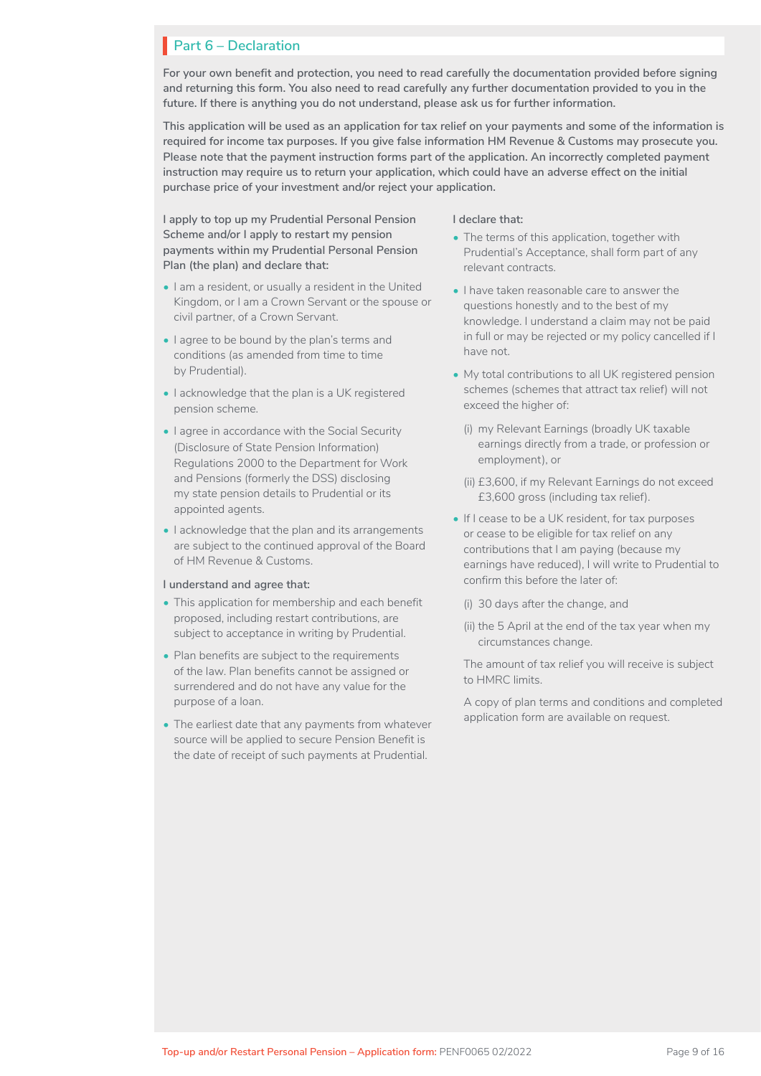## **Part 6 – Declaration**

**For your own benefit and protection, you need to read carefully the documentation provided before signing and returning this form. You also need to read carefully any further documentation provided to you in the future. If there is anything you do not understand, please ask us for further information.**

**This application will be used as an application for tax relief on your payments and some of the information is required for income tax purposes. If you give false information HM Revenue & Customs may prosecute you. Please note that the payment instruction forms part of the application. An incorrectly completed payment instruction may require us to return your application, which could have an adverse effect on the initial purchase price of your investment and/or reject your application.**

**I apply to top up my Prudential Personal Pension Scheme and/or I apply to restart my pension payments within my Prudential Personal Pension Plan (the plan) and declare that:**

- I am a resident, or usually a resident in the United Kingdom, or I am a Crown Servant or the spouse or civil partner, of a Crown Servant.
- I agree to be bound by the plan's terms and conditions (as amended from time to time by Prudential).
- I acknowledge that the plan is a UK registered pension scheme.
- I agree in accordance with the Social Security (Disclosure of State Pension Information) Regulations 2000 to the Department for Work and Pensions (formerly the DSS) disclosing my state pension details to Prudential or its appointed agents.
- I acknowledge that the plan and its arrangements are subject to the continued approval of the Board of HM Revenue & Customs.

#### **I understand and agree that:**

- This application for membership and each benefit proposed, including restart contributions, are subject to acceptance in writing by Prudential.
- Plan benefits are subject to the requirements of the law. Plan benefits cannot be assigned or surrendered and do not have any value for the purpose of a loan.
- The earliest date that any payments from whatever source will be applied to secure Pension Benefit is the date of receipt of such payments at Prudential.

#### **I declare that:**

- The terms of this application, together with Prudential's Acceptance, shall form part of any relevant contracts.
- I have taken reasonable care to answer the questions honestly and to the best of my knowledge. I understand a claim may not be paid in full or may be rejected or my policy cancelled if I have not.
- My total contributions to all UK registered pension schemes (schemes that attract tax relief) will not exceed the higher of:
	- (i) my Relevant Earnings (broadly UK taxable earnings directly from a trade, or profession or employment), or
	- (ii) £3,600, if my Relevant Earnings do not exceed £3,600 gross (including tax relief).
- If I cease to be a UK resident, for tax purposes or cease to be eligible for tax relief on any contributions that I am paying (because my earnings have reduced), I will write to Prudential to confirm this before the later of:
	- (i) 30 days after the change, and
	- (ii) the 5 April at the end of the tax year when my circumstances change.

The amount of tax relief you will receive is subject to HMRC limits.

A copy of plan terms and conditions and completed application form are available on request.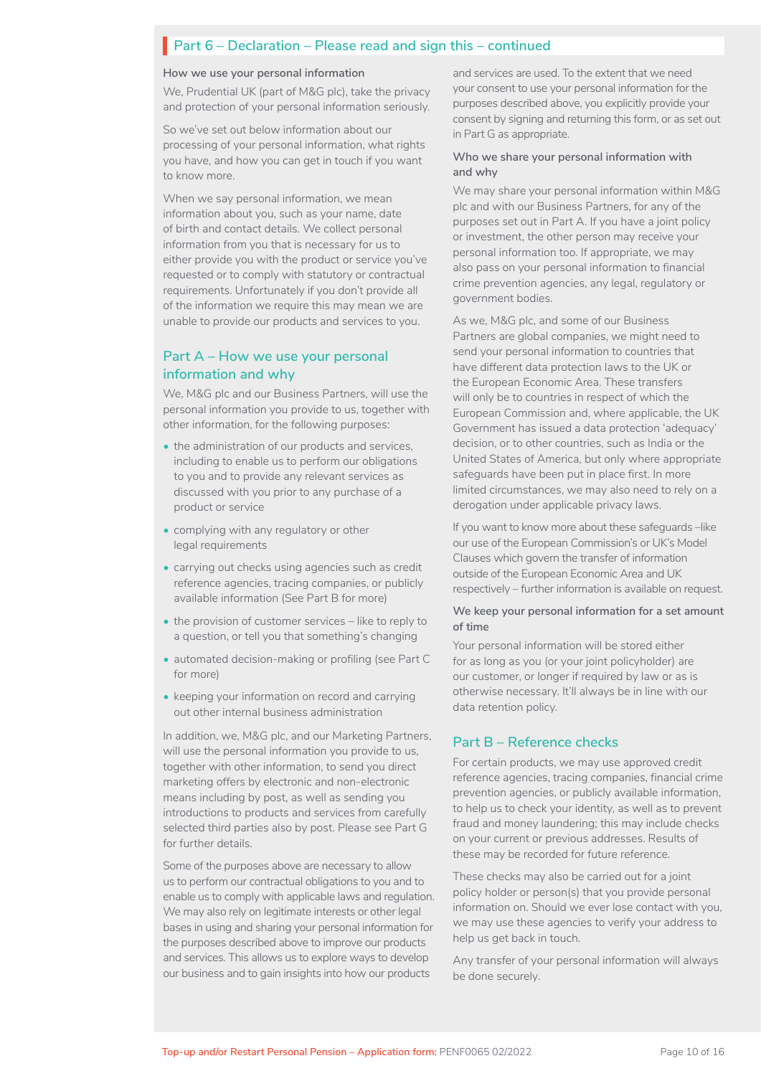#### Part 6 – Declaration – Please read and sign this – continued

#### **How we use your personal information**

We, Prudential UK (part of M&G plc), take the privacy and protection of your personal information seriously.

So we've set out below information about our processing of your personal information, what rights you have, and how you can get in touch if you want to know more.

When we say personal information, we mean information about you, such as your name, date of birth and contact details. We collect personal information from you that is necessary for us to either provide you with the product or service you've requested or to comply with statutory or contractual requirements. Unfortunately if you don't provide all of the information we require this may mean we are unable to provide our products and services to you.

## **Part A – How we use your personal information and why**

We, M&G plc and our Business Partners, will use the personal information you provide to us, together with other information, for the following purposes:

- the administration of our products and services. including to enable us to perform our obligations to you and to provide any relevant services as discussed with you prior to any purchase of a product or service
- complying with any regulatory or other legal requirements
- carrying out checks using agencies such as credit reference agencies, tracing companies, or publicly available information (See Part B for more)
- the provision of customer services like to reply to a question, or tell you that something's changing
- automated decision-making or profiling (see Part C for more)
- keeping your information on record and carrying out other internal business administration

In addition, we, M&G plc, and our Marketing Partners. will use the personal information you provide to us, together with other information, to send you direct marketing offers by electronic and non-electronic means including by post, as well as sending you introductions to products and services from carefully selected third parties also by post. Please see Part G for further details.

Some of the purposes above are necessary to allow us to perform our contractual obligations to you and to enable us to comply with applicable laws and regulation. We may also rely on legitimate interests or other legal bases in using and sharing your personal information for the purposes described above to improve our products and services. This allows us to explore ways to develop our business and to gain insights into how our products

and services are used. To the extent that we need your consent to use your personal information for the purposes described above, you explicitly provide your consent by signing and returning this form, or as set out in Part G as appropriate.

#### **Who we share your personal information with and why**

We may share your personal information within M&G plc and with our Business Partners, for any of the purposes set out in Part A. If you have a joint policy or investment, the other person may receive your personal information too. If appropriate, we may also pass on your personal information to financial crime prevention agencies, any legal, regulatory or government bodies.

As we, M&G plc, and some of our Business Partners are global companies, we might need to send your personal information to countries that have different data protection laws to the UK or the European Economic Area. These transfers will only be to countries in respect of which the European Commission and, where applicable, the UK Government has issued a data protection 'adequacy' decision, or to other countries, such as India or the United States of America, but only where appropriate safeguards have been put in place first. In more limited circumstances, we may also need to rely on a derogation under applicable privacy laws.

If you want to know more about these safeguards –like our use of the European Commission's or UK's Model Clauses which govern the transfer of information outside of the European Economic Area and UK respectively – further information is available on request.

#### **We keep your personal information for a set amount of time**

Your personal information will be stored either for as long as you (or your joint policyholder) are our customer, or longer if required by law or as is otherwise necessary. It'll always be in line with our data retention policy.

### **Part B – Reference checks**

For certain products, we may use approved credit reference agencies, tracing companies, financial crime prevention agencies, or publicly available information, to help us to check your identity, as well as to prevent fraud and money laundering; this may include checks on your current or previous addresses. Results of these may be recorded for future reference.

These checks may also be carried out for a joint policy holder or person(s) that you provide personal information on. Should we ever lose contact with you, we may use these agencies to verify your address to help us get back in touch.

Any transfer of your personal information will always be done securely.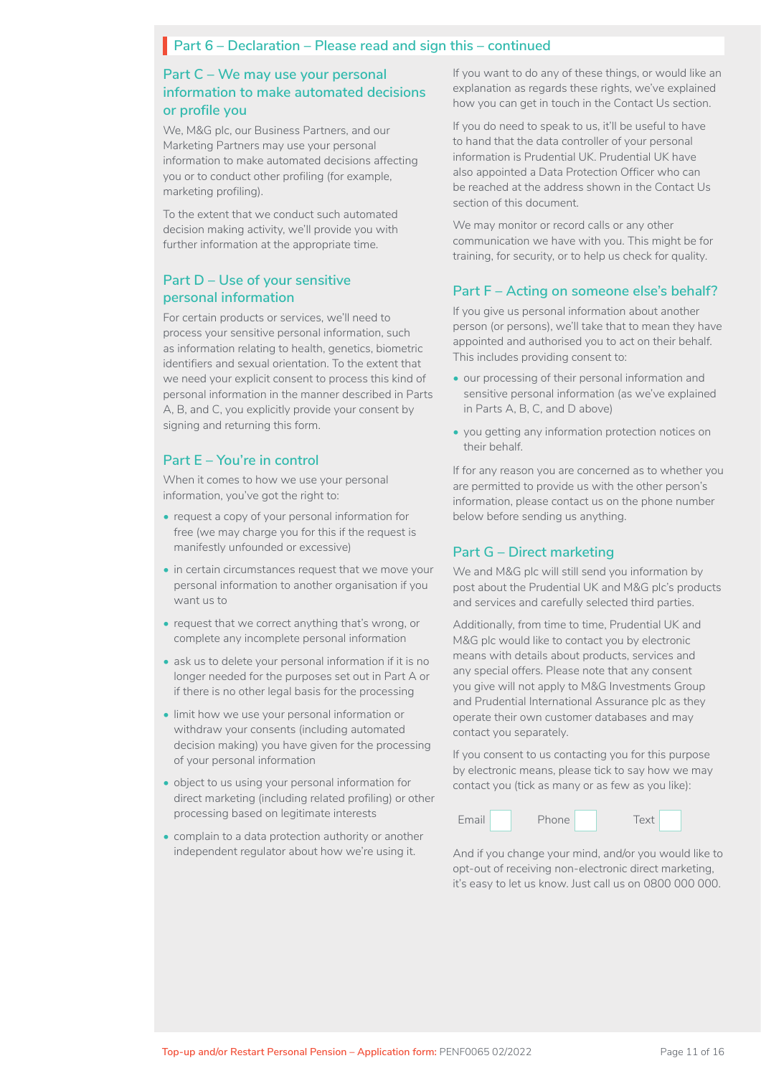### **Part 6 – Declaration – Please read and sign this – continued**

## **Part C – We may use your personal information to make automated decisions or profile you**

We, M&G plc, our Business Partners, and our Marketing Partners may use your personal information to make automated decisions affecting you or to conduct other profiling (for example, marketing profiling).

To the extent that we conduct such automated decision making activity, we'll provide you with further information at the appropriate time.

## **Part D – Use of your sensitive personal information**

For certain products or services, we'll need to process your sensitive personal information, such as information relating to health, genetics, biometric identifiers and sexual orientation. To the extent that we need your explicit consent to process this kind of personal information in the manner described in Parts A, B, and C, you explicitly provide your consent by signing and returning this form.

## **Part E – You're in control**

When it comes to how we use your personal information, you've got the right to:

- request a copy of your personal information for free (we may charge you for this if the request is manifestly unfounded or excessive)
- in certain circumstances request that we move your personal information to another organisation if you want us to
- request that we correct anything that's wrong, or complete any incomplete personal information
- ask us to delete your personal information if it is no longer needed for the purposes set out in Part A or if there is no other legal basis for the processing
- limit how we use your personal information or withdraw your consents (including automated decision making) you have given for the processing of your personal information
- object to us using your personal information for direct marketing (including related profiling) or other processing based on legitimate interests
- complain to a data protection authority or another independent regulator about how we're using it.

If you want to do any of these things, or would like an explanation as regards these rights, we've explained how you can get in touch in the Contact Us section.

If you do need to speak to us, it'll be useful to have to hand that the data controller of your personal information is Prudential UK. Prudential UK have also appointed a Data Protection Officer who can be reached at the address shown in the Contact Us section of this document.

We may monitor or record calls or any other communication we have with you. This might be for training, for security, or to help us check for quality.

## **Part F – Acting on someone else's behalf?**

If you give us personal information about another person (or persons), we'll take that to mean they have appointed and authorised you to act on their behalf. This includes providing consent to:

- our processing of their personal information and sensitive personal information (as we've explained in Parts A, B, C, and D above)
- you getting any information protection notices on their behalf.

If for any reason you are concerned as to whether you are permitted to provide us with the other person's information, please contact us on the phone number below before sending us anything.

### **Part G – Direct marketing**

We and M&G plc will still send you information by post about the Prudential UK and M&G plc's products and services and carefully selected third parties.

Additionally, from time to time, Prudential UK and M&G plc would like to contact you by electronic means with details about products, services and any special offers. Please note that any consent you give will not apply to M&G Investments Group and Prudential International Assurance plc as they operate their own customer databases and may contact you separately.

If you consent to us contacting you for this purpose by electronic means, please tick to say how we may contact you (tick as many or as few as you like):



And if you change your mind, and/or you would like to opt-out of receiving non-electronic direct marketing, it's easy to let us know. Just call us on 0800 000 000.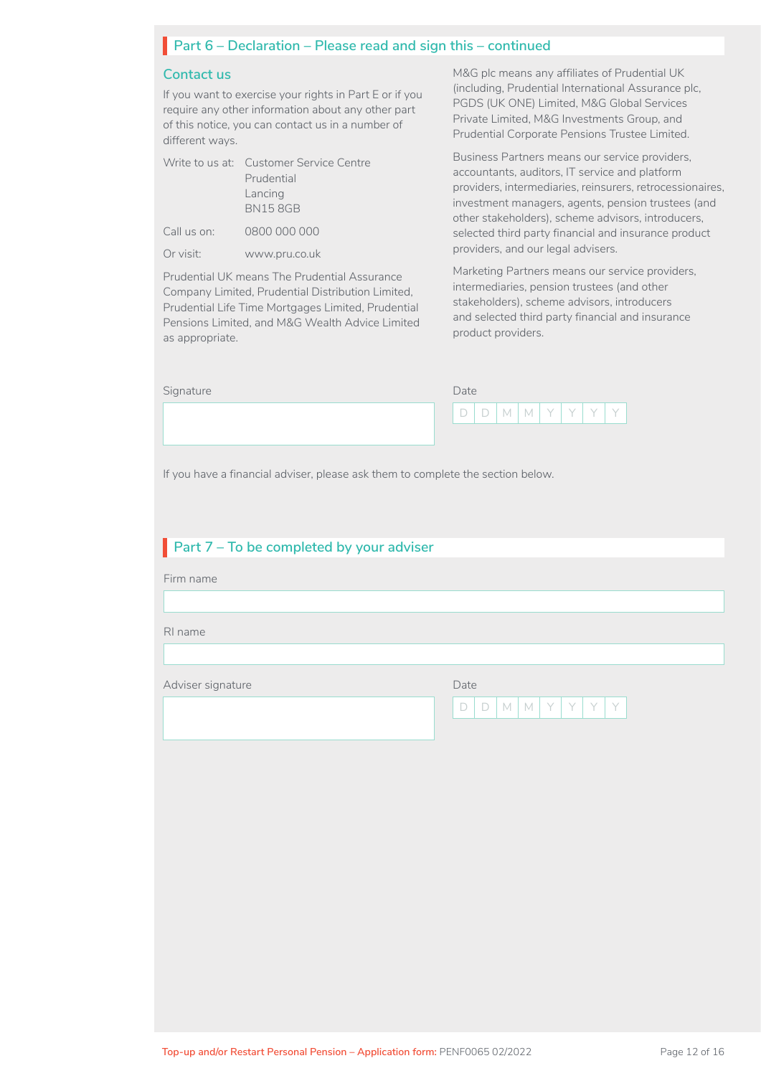## Part 6 – Declaration – Please read and sign this – continued

### **Contact us**

If you want to exercise your rights in Part E or if you require any other information about any other part of this notice, you can contact us in a number of different ways.

|             | Write to us at: Customer Service Centre |
|-------------|-----------------------------------------|
|             | Prudential                              |
|             | Lancing                                 |
|             | <b>BN158GB</b>                          |
| Call us on: | 0800 000 000                            |
| Or visit:   | www.pru.co.uk                           |

Prudential UK means The Prudential Assurance Company Limited, Prudential Distribution Limited, Prudential Life Time Mortgages Limited, Prudential Pensions Limited, and M&G Wealth Advice Limited as appropriate.

M&G plc means any affiliates of Prudential UK (including, Prudential International Assurance plc, PGDS (UK ONE) Limited, M&G Global Services Private Limited, M&G Investments Group, and Prudential Corporate Pensions Trustee Limited.

Business Partners means our service providers, accountants, auditors, IT service and platform providers, intermediaries, reinsurers, retrocessionaires, investment managers, agents, pension trustees (and other stakeholders), scheme advisors, introducers, selected third party financial and insurance product providers, and our legal advisers.

Marketing Partners means our service providers, intermediaries, pension trustees (and other stakeholders), scheme advisors, introducers and selected third party financial and insurance product providers.

| Signature | Date |        |    |  |   |     |    |              |
|-----------|------|--------|----|--|---|-----|----|--------------|
|           | `D.  | $\Box$ | MM |  | Y | Y I | гY | $\checkmark$ |
|           |      |        |    |  |   |     |    |              |

If you have a financial adviser, please ask them to complete the section below.

## Part 7 – To be completed by your adviser

Firm name

RI name

Adviser signature Date Date Date

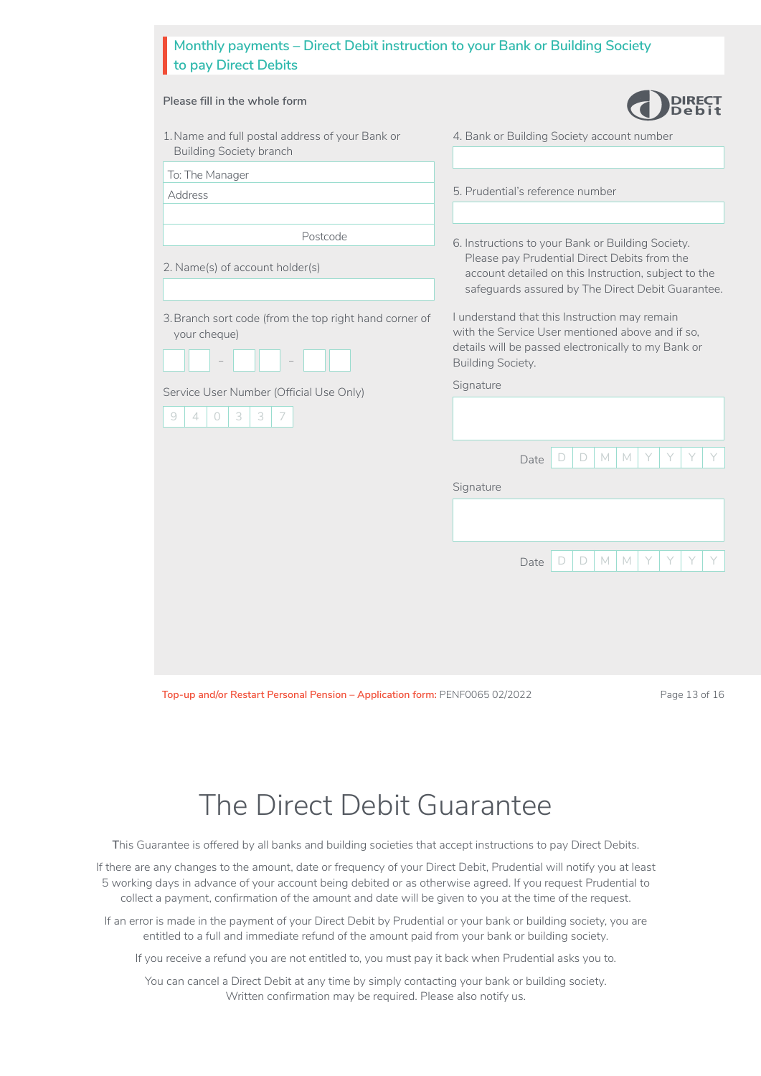| Monthly payments - Direct Debit instruction to your Bank or Building Society<br>to pay Direct Debits |                                                                                                                                                                                      |  |  |  |  |  |  |
|------------------------------------------------------------------------------------------------------|--------------------------------------------------------------------------------------------------------------------------------------------------------------------------------------|--|--|--|--|--|--|
| Please fill in the whole form                                                                        |                                                                                                                                                                                      |  |  |  |  |  |  |
| 1. Name and full postal address of your Bank or<br><b>Building Society branch</b>                    | 4. Bank or Building Society account number                                                                                                                                           |  |  |  |  |  |  |
| To: The Manager                                                                                      |                                                                                                                                                                                      |  |  |  |  |  |  |
| Address                                                                                              | 5. Prudential's reference number                                                                                                                                                     |  |  |  |  |  |  |
|                                                                                                      |                                                                                                                                                                                      |  |  |  |  |  |  |
| Postcode                                                                                             | 6. Instructions to your Bank or Building Society.                                                                                                                                    |  |  |  |  |  |  |
| 2. Name(s) of account holder(s)                                                                      | Please pay Prudential Direct Debits from the<br>account detailed on this Instruction, subject to the<br>safeguards assured by The Direct Debit Guarantee.                            |  |  |  |  |  |  |
| 3. Branch sort code (from the top right hand corner of<br>your cheque)                               | I understand that this Instruction may remain<br>with the Service User mentioned above and if so,<br>details will be passed electronically to my Bank or<br><b>Building Society.</b> |  |  |  |  |  |  |
| Service User Number (Official Use Only)                                                              | Signature                                                                                                                                                                            |  |  |  |  |  |  |
| 9<br>$\overline{\mathcal{A}}$<br>$\bigcirc$<br>3<br>3                                                |                                                                                                                                                                                      |  |  |  |  |  |  |
|                                                                                                      | D<br>M<br>M<br>Y<br>Y<br>D<br>Date                                                                                                                                                   |  |  |  |  |  |  |
|                                                                                                      | Signature                                                                                                                                                                            |  |  |  |  |  |  |
|                                                                                                      |                                                                                                                                                                                      |  |  |  |  |  |  |
|                                                                                                      | M<br>$\mathbb M$<br>Y<br>Y<br>D<br>D<br>Date                                                                                                                                         |  |  |  |  |  |  |
|                                                                                                      |                                                                                                                                                                                      |  |  |  |  |  |  |
|                                                                                                      |                                                                                                                                                                                      |  |  |  |  |  |  |
|                                                                                                      |                                                                                                                                                                                      |  |  |  |  |  |  |

**Top-up and/or Restart Personal Pension – Application form:** PENF0065 02/2022 Page 13 of 16

# The Direct Debit Guarantee

**T**his Guarantee is offered by all banks and building societies that accept instructions to pay Direct Debits.

If there are any changes to the amount, date or frequency of your Direct Debit, Prudential will notify you at least 5 working days in advance of your account being debited or as otherwise agreed. If you request Prudential to collect a payment, confirmation of the amount and date will be given to you at the time of the request.

If an error is made in the payment of your Direct Debit by Prudential or your bank or building society, you are entitled to a full and immediate refund of the amount paid from your bank or building society.

If you receive a refund you are not entitled to, you must pay it back when Prudential asks you to.

You can cancel a Direct Debit at any time by simply contacting your bank or building society. Written confirmation may be required. Please also notify us.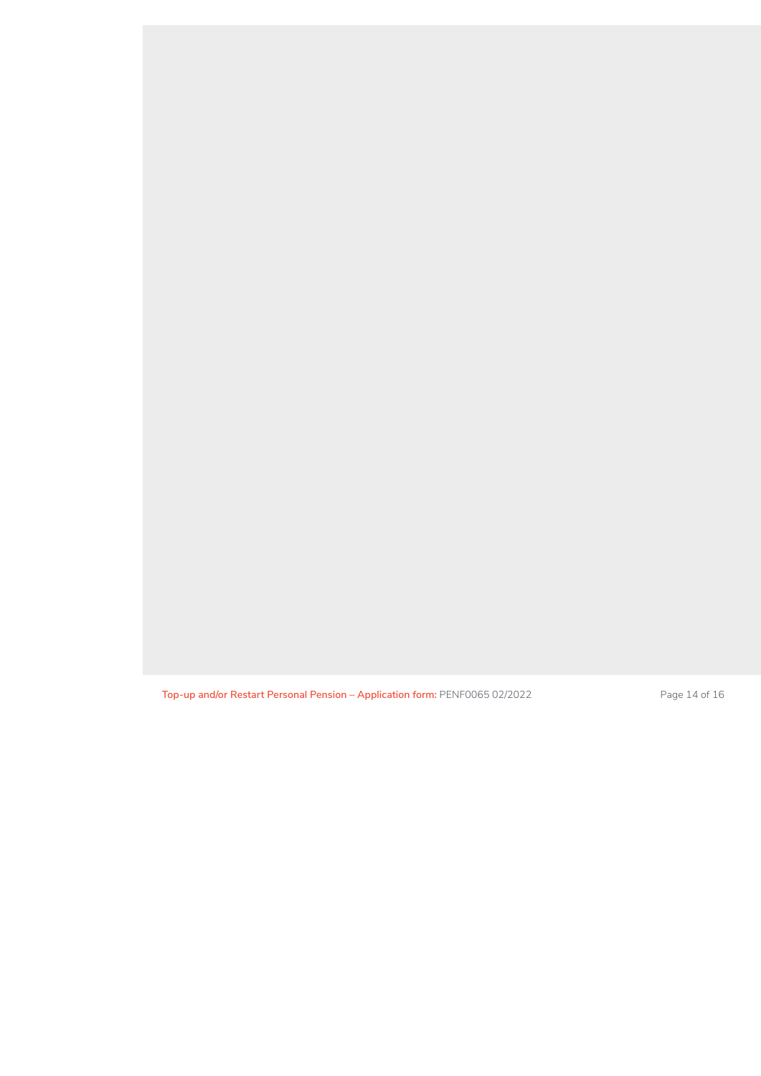**Top-up and/or Restart Personal Pension – Application form:** PENF0065 02/2022 Page 14 of 16